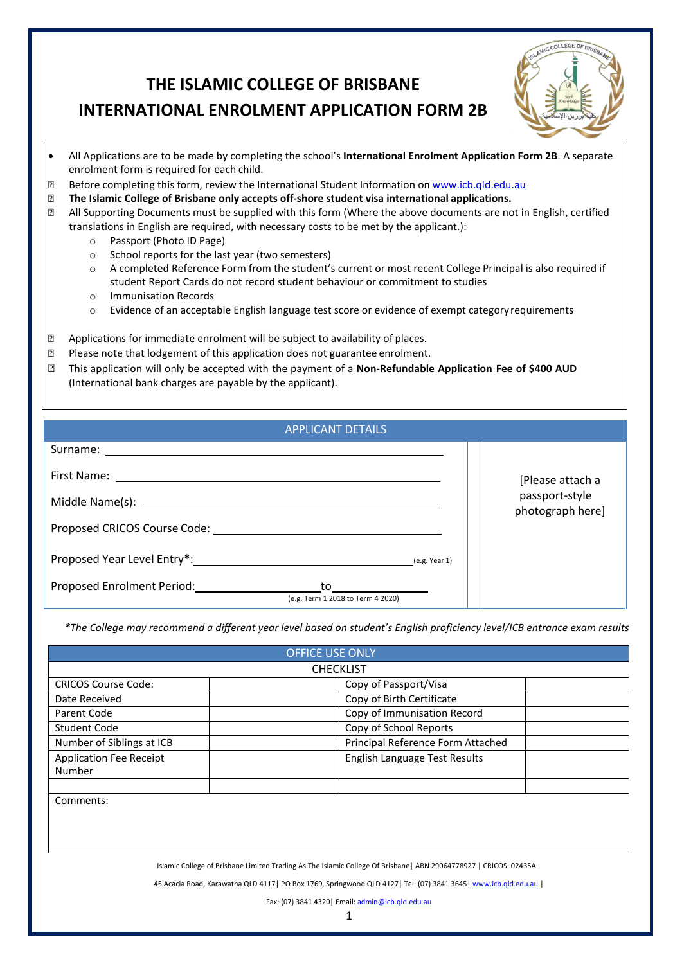# **THE ISLAMIC COLLEGE OF BRISBANE**

# **INTERNATIONAL ENROLMENT APPLICATION FORM 2B**



- All Applications are to be made by completing the school's **International Enrolment Application Form 2B**. A separate enrolment form is required for each child.
- **Before completing this form, review the International Student Information on [www.icb.qld.edu.au](http://www.icb.qld.edu.au/)**<br>**B** The Islamic College of Brisbane only accepts off-shore student visa international applications.
- **The Islamic College of Brisbane only accepts off-shore student visa international applications.**
- All Supporting Documents must be supplied with this form (Where the above documents are not in English, certified translations in English are required, with necessary costs to be met by the applicant.):
	- o Passport (Photo ID Page)
	- o School reports for the last year (two semesters)
	- o A completed Reference Form from the student's current or most recent College Principal is also required if student Report Cards do not record student behaviour or commitment to studies
	- o Immunisation Records
	- o Evidence of an acceptable English language test score or evidence of exempt categoryrequirements
- **EXECUTE:** Applications for immediate enrolment will be subject to availability of places.
- **Please note that lodgement of this application does not guarantee enrolment.**
- This application will only be accepted with the payment of a **Non-Refundable Application Fee of \$400 AUD** (International bank charges are payable by the applicant).

| <b>APPLICANT DETAILS</b>                                                                                                                                                                                                                                                                                                                       |                                    |
|------------------------------------------------------------------------------------------------------------------------------------------------------------------------------------------------------------------------------------------------------------------------------------------------------------------------------------------------|------------------------------------|
|                                                                                                                                                                                                                                                                                                                                                |                                    |
|                                                                                                                                                                                                                                                                                                                                                | [Please attach a                   |
| Middle Name(s): Name (s) and the set of the set of the set of the set of the set of the set of the set of the set of the set of the set of the set of the set of the set of the set of the set of the set of the set of the se                                                                                                                 | passport-style<br>photograph here] |
|                                                                                                                                                                                                                                                                                                                                                |                                    |
|                                                                                                                                                                                                                                                                                                                                                |                                    |
| Proposed Enrolment Period: National Assembly Proposed Enrolment Period:<br>to the contract of the contract of the contract of the contract of the contract of the contract of the contract of the contract of the contract of the contract of the contract of the contract of the contract of the contrac<br>(e.g. Term 1 2018 to Term 4 2020) |                                    |

*\*The College may recommend a different year level based on student's English proficiency level/ICB entrance exam results*

|                                          | <b>OFFICE USE ONLY</b>                                                                                            |
|------------------------------------------|-------------------------------------------------------------------------------------------------------------------|
|                                          | <b>CHECKLIST</b>                                                                                                  |
| <b>CRICOS Course Code:</b>               | Copy of Passport/Visa                                                                                             |
| Date Received                            | Copy of Birth Certificate                                                                                         |
| Parent Code                              | Copy of Immunisation Record                                                                                       |
| Student Code                             | Copy of School Reports                                                                                            |
| Number of Siblings at ICB                | Principal Reference Form Attached                                                                                 |
| <b>Application Fee Receipt</b><br>Number | English Language Test Results                                                                                     |
|                                          |                                                                                                                   |
| Comments:                                |                                                                                                                   |
|                                          | Islamic College of Brisbane Limited Trading As The Islamic College Of Brisbane   ABN 29064778927   CRICOS: 02435A |
|                                          | 45 Acacia Road, Karawatha QLD 4117   PO Box 1769, Springwood QLD 4127   Tel: (07) 3841 3645   www.icb.qld.edu.au  |
|                                          | Fax: (07) 3841 4320   Email: admin@icb.qld.edu.au                                                                 |
|                                          |                                                                                                                   |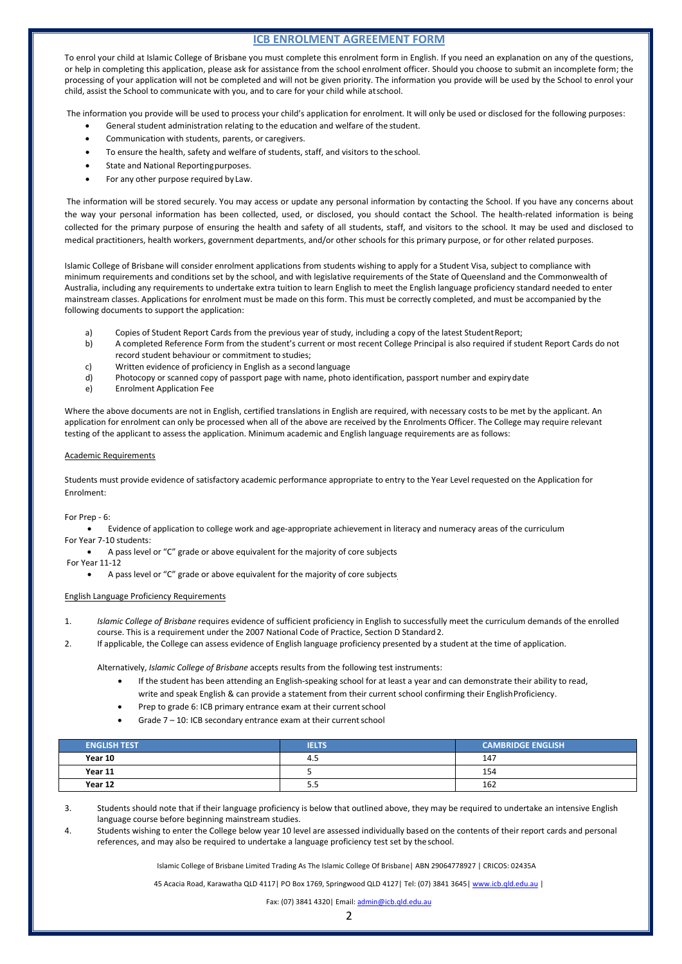# **ICB ENROLMENT AGREEMENT FORM**

To enrol your child at Islamic College of Brisbane you must complete this enrolment form in English. If you need an explanation on any of the questions, or help in completing this application, please ask for assistance from the school enrolment officer. Should you choose to submit an incomplete form; the processing of your application will not be completed and will not be given priority. The information you provide will be used by the School to enrol your child, assist the School to communicate with you, and to care for your child while atschool.

The information you provide will be used to process your child's application for enrolment. It will only be used or disclosed for the following purposes:

- General student administration relating to the education and welfare of the student.
- Communication with students, parents, or caregivers.
- To ensure the health, safety and welfare of students, staff, and visitors to the school.
- State and National Reporting purposes.
- For any other purpose required by Law.

The information will be stored securely. You may access or update any personal information by contacting the School. If you have any concerns about the way your personal information has been collected, used, or disclosed, you should contact the School. The health-related information is being collected for the primary purpose of ensuring the health and safety of all students, staff, and visitors to the school. It may be used and disclosed to medical practitioners, health workers, government departments, and/or other schools for this primary purpose, or for other related purposes.

Islamic College of Brisbane will consider enrolment applications from students wishing to apply for a Student Visa, subject to compliance with minimum requirements and conditions set by the school, and with legislative requirements of the State of Queensland and the Commonwealth of Australia, including any requirements to undertake extra tuition to learn English to meet the English language proficiency standard needed to enter mainstream classes. Applications for enrolment must be made on this form. This must be correctly completed, and must be accompanied by the following documents to support the application:

- 
- a) Copies of Student Report Cards from the previous year of study, including a copy of the latest Student Report;<br>b) A completed Reference Form from the student's current or most recent College Principal is also required i b) A completed Reference Form from the student's current or most recent College Principal is also required if student Report Cards do not record student behaviour or commitment to studies;
- c) Written evidence of proficiency in English as a second language
- d) Photocopy or scanned copy of passport page with name, photo identification, passport number and expirydate
- e) Enrolment Application Fee

Where the above documents are not in English, certified translations in English are required, with necessary costs to be met by the applicant. An application for enrolment can only be processed when all of the above are received by the Enrolments Officer. The College may require relevant testing of the applicant to assess the application. Minimum academic and English language requirements are as follows:

#### Academic Requirements

Students must provide evidence of satisfactory academic performance appropriate to entry to the Year Level requested on the Application for Enrolment:

#### For Prep - 6:

• Evidence of application to college work and age-appropriate achievement in literacy and numeracy areas of the curriculum For Year 7-10 students:

• A pass level or "C" grade or above equivalent for the majority of core subjects

For Year 11-12

• A pass level or "C" grade or above equivalent for the majority of core subjects

#### English Language Proficiency Requirements

- 1. *Islamic College of Brisbane* requires evidence of sufficient proficiency in English to successfully meet the curriculum demands of the enrolled course. This is a requirement under the 2007 National Code of Practice, Section D Standard2.
- 2. If applicable, the College can assess evidence of English language proficiency presented by a student at the time of application.

Alternatively, *Islamic College of Brisbane* accepts results from the following test instruments:

- If the student has been attending an English-speaking school for at least a year and can demonstrate their ability to read, write and speak English & can provide a statement from their current school confirming their EnglishProficiency.
- Prep to grade 6: ICB primary entrance exam at their current school
- Grade  $7 10$ : ICB secondary entrance exam at their current school

| <b>ENGLISH TEST</b> | <b>IELTS</b> | <b>CAMBRIDGE ENGLISH</b> |
|---------------------|--------------|--------------------------|
| Year 10             | -4.5         | 147                      |
| Year 11             |              | 154                      |
| Year 12             | כ.כ          | 162                      |

3. Students should note that if their language proficiency is below that outlined above, they may be required to undertake an intensive English language course before beginning mainstream studies.

4. Students wishing to enter the College below year 10 level are assessed individually based on the contents of their report cards and personal references, and may also be required to undertake a language proficiency test set by the school.

Islamic College of Brisbane Limited Trading As The Islamic College Of Brisbane| ABN 29064778927 | CRICOS: 02435A

45 Acacia Road, Karawatha QLD 4117 | PO Box 1769, Springwood QLD 4127 | Tel: (07) 3841 3645 [| www.icb.qld.edu.au](http://www.icb.qld.edu.au/) |

Fax: (07) 3841 4320| Email[: admin@icb.qld.edu.au](mailto:admin@icb.qld.edu.au)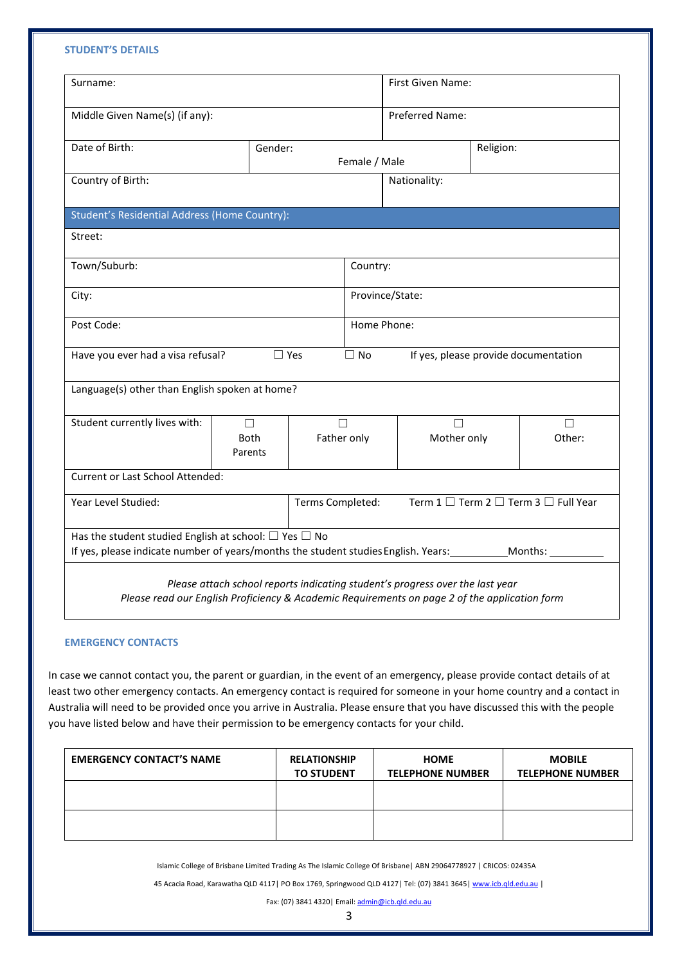## **STUDENT'S DETAILS**

| Gender:<br>Female / Male<br>Student's Residential Address (Home Country):<br>Country: | Preferred Name:<br>Religion:<br>Nationality:<br>Province/State: |                                                                                                                                    |
|---------------------------------------------------------------------------------------|-----------------------------------------------------------------|------------------------------------------------------------------------------------------------------------------------------------|
|                                                                                       |                                                                 |                                                                                                                                    |
|                                                                                       |                                                                 |                                                                                                                                    |
|                                                                                       |                                                                 |                                                                                                                                    |
|                                                                                       |                                                                 |                                                                                                                                    |
|                                                                                       |                                                                 |                                                                                                                                    |
|                                                                                       |                                                                 |                                                                                                                                    |
|                                                                                       |                                                                 |                                                                                                                                    |
| Post Code:<br>Home Phone:                                                             |                                                                 |                                                                                                                                    |
| $\square$ Yes<br>$\Box$ No                                                            | If yes, please provide documentation                            |                                                                                                                                    |
| Language(s) other than English spoken at home?                                        |                                                                 |                                                                                                                                    |
| □                                                                                     | $\perp$                                                         | П                                                                                                                                  |
| Father only                                                                           | Mother only                                                     | Other:                                                                                                                             |
|                                                                                       |                                                                 |                                                                                                                                    |
|                                                                                       | Term 1 □ Term 2 □ Term 3 □ Full Year                            |                                                                                                                                    |
| Has the student studied English at school: $\square$ Yes $\square$ No                 |                                                                 |                                                                                                                                    |
|                                                                                       |                                                                 | Terms Completed:<br>If yes, please indicate number of years/months the student studies English. Years: ___________Months: ________ |

*Please read our English Proficiency & Academic Requirements on page 2 of the application form*

## **EMERGENCY CONTACTS**

In case we cannot contact you, the parent or guardian, in the event of an emergency, please provide contact details of at least two other emergency contacts. An emergency contact is required for someone in your home country and a contact in Australia will need to be provided once you arrive in Australia. Please ensure that you have discussed this with the people you have listed below and have their permission to be emergency contacts for your child.

| <b>EMERGENCY CONTACT'S NAME</b> | <b>RELATIONSHIP</b><br><b>TO STUDENT</b> | <b>HOME</b><br><b>TELEPHONE NUMBER</b> | <b>MOBILE</b><br><b>TELEPHONE NUMBER</b> |
|---------------------------------|------------------------------------------|----------------------------------------|------------------------------------------|
|                                 |                                          |                                        |                                          |
|                                 |                                          |                                        |                                          |

Islamic College of Brisbane Limited Trading As The Islamic College Of Brisbane| ABN 29064778927 | CRICOS: 02435A

45 Acacia Road, Karawatha QLD 4117| PO Box 1769, Springwood QLD 4127| Tel: (07) 3841 3645[| www.icb.qld.edu.au](http://www.icb.qld.edu.au/) |

Fax: (07) 3841 4320 | Email[: admin@icb.qld.edu.au](mailto:admin@icb.qld.edu.au)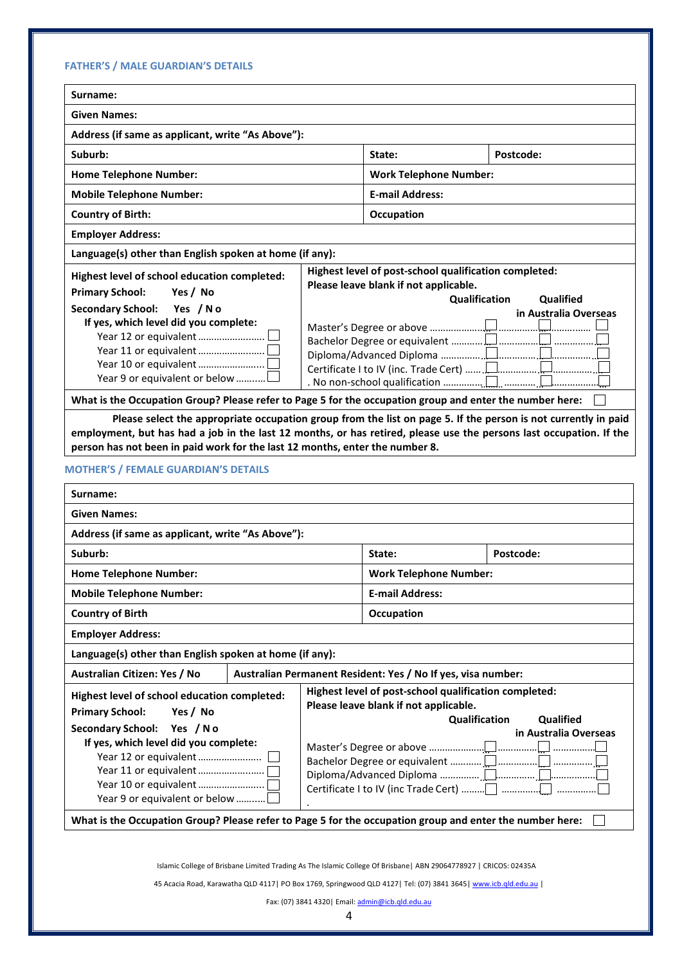| <b>Given Names:</b>                                                                                                                                                                                                                                                                                                                                                                                                                             |                        |                                                              |                            |
|-------------------------------------------------------------------------------------------------------------------------------------------------------------------------------------------------------------------------------------------------------------------------------------------------------------------------------------------------------------------------------------------------------------------------------------------------|------------------------|--------------------------------------------------------------|----------------------------|
| Address (if same as applicant, write "As Above"):                                                                                                                                                                                                                                                                                                                                                                                               |                        |                                                              |                            |
| Suburb:                                                                                                                                                                                                                                                                                                                                                                                                                                         |                        | State:                                                       | Postcode:                  |
| <b>Home Telephone Number:</b><br><b>Work Telephone Number:</b>                                                                                                                                                                                                                                                                                                                                                                                  |                        |                                                              |                            |
| <b>Mobile Telephone Number:</b>                                                                                                                                                                                                                                                                                                                                                                                                                 | <b>E-mail Address:</b> |                                                              |                            |
| <b>Country of Birth:</b>                                                                                                                                                                                                                                                                                                                                                                                                                        |                        | Occupation                                                   |                            |
| <b>Employer Address:</b>                                                                                                                                                                                                                                                                                                                                                                                                                        |                        |                                                              |                            |
| Language(s) other than English spoken at home (if any):                                                                                                                                                                                                                                                                                                                                                                                         |                        |                                                              |                            |
| Highest level of school education completed:                                                                                                                                                                                                                                                                                                                                                                                                    |                        | Highest level of post-school qualification completed:        |                            |
| <b>Primary School:</b><br>Yes / No                                                                                                                                                                                                                                                                                                                                                                                                              |                        | Please leave blank if not applicable.                        | Qualified<br>Qualification |
| Secondary School: Yes / No                                                                                                                                                                                                                                                                                                                                                                                                                      |                        |                                                              | in Australia Overseas      |
| If yes, which level did you complete:                                                                                                                                                                                                                                                                                                                                                                                                           |                        |                                                              |                            |
|                                                                                                                                                                                                                                                                                                                                                                                                                                                 |                        |                                                              |                            |
|                                                                                                                                                                                                                                                                                                                                                                                                                                                 |                        |                                                              |                            |
| Year 9 or equivalent or below                                                                                                                                                                                                                                                                                                                                                                                                                   |                        |                                                              |                            |
| What is the Occupation Group? Please refer to Page 5 for the occupation group and enter the number here:                                                                                                                                                                                                                                                                                                                                        |                        |                                                              |                            |
| <b>MOTHER'S / FEMALE GUARDIAN'S DETAILS</b><br>Surname:                                                                                                                                                                                                                                                                                                                                                                                         |                        |                                                              |                            |
|                                                                                                                                                                                                                                                                                                                                                                                                                                                 |                        |                                                              |                            |
|                                                                                                                                                                                                                                                                                                                                                                                                                                                 |                        |                                                              |                            |
|                                                                                                                                                                                                                                                                                                                                                                                                                                                 |                        |                                                              |                            |
| <b>Given Names:</b><br>Address (if same as applicant, write "As Above"):                                                                                                                                                                                                                                                                                                                                                                        |                        |                                                              |                            |
|                                                                                                                                                                                                                                                                                                                                                                                                                                                 |                        | State:                                                       | Postcode:                  |
|                                                                                                                                                                                                                                                                                                                                                                                                                                                 |                        | <b>Work Telephone Number:</b>                                |                            |
|                                                                                                                                                                                                                                                                                                                                                                                                                                                 |                        | <b>E-mail Address:</b>                                       |                            |
|                                                                                                                                                                                                                                                                                                                                                                                                                                                 |                        | Occupation                                                   |                            |
|                                                                                                                                                                                                                                                                                                                                                                                                                                                 |                        |                                                              |                            |
|                                                                                                                                                                                                                                                                                                                                                                                                                                                 |                        | Australian Permanent Resident: Yes / No If yes, visa number: |                            |
|                                                                                                                                                                                                                                                                                                                                                                                                                                                 |                        | Highest level of post-school qualification completed:        |                            |
|                                                                                                                                                                                                                                                                                                                                                                                                                                                 |                        | Please leave blank if not applicable.                        |                            |
| Yes / No                                                                                                                                                                                                                                                                                                                                                                                                                                        |                        |                                                              | Qualification<br>Qualified |
| Yes /No                                                                                                                                                                                                                                                                                                                                                                                                                                         |                        |                                                              |                            |
| If yes, which level did you complete:                                                                                                                                                                                                                                                                                                                                                                                                           |                        |                                                              |                            |
|                                                                                                                                                                                                                                                                                                                                                                                                                                                 |                        |                                                              |                            |
|                                                                                                                                                                                                                                                                                                                                                                                                                                                 |                        |                                                              |                            |
| Year 9 or equivalent or below                                                                                                                                                                                                                                                                                                                                                                                                                   |                        |                                                              |                            |
| Suburb:<br><b>Home Telephone Number:</b><br><b>Mobile Telephone Number:</b><br><b>Country of Birth</b><br><b>Employer Address:</b><br>Language(s) other than English spoken at home (if any):<br>Australian Citizen: Yes / No<br>Highest level of school education completed:<br><b>Primary School:</b><br><b>Secondary School:</b><br>What is the Occupation Group? Please refer to Page 5 for the occupation group and enter the number here: |                        |                                                              | in Australia Overseas      |
|                                                                                                                                                                                                                                                                                                                                                                                                                                                 |                        |                                                              |                            |
|                                                                                                                                                                                                                                                                                                                                                                                                                                                 |                        |                                                              |                            |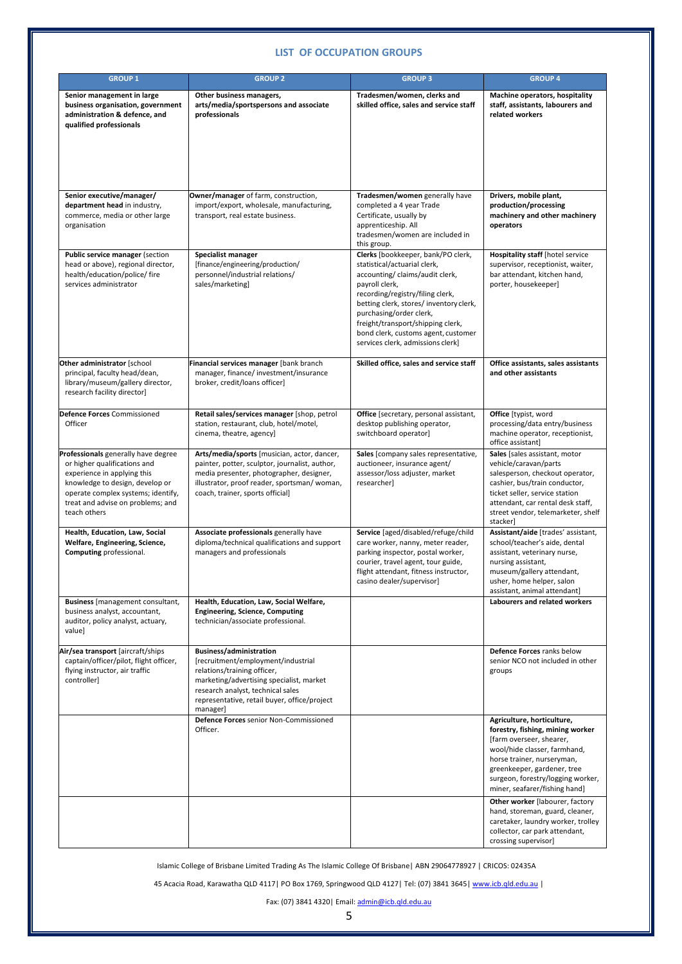# **LIST OF OCCUPATION GROUPS**

| <b>GROUP 1</b>                                                                                                                                                                                                                   | <b>GROUP 2</b>                                                                                                                                                                                                                                   | <b>GROUP 3</b>                                                                                                                                                                                                                                                                                                                                    | <b>GROUP 4</b>                                                                                                                                                                                                                                                |
|----------------------------------------------------------------------------------------------------------------------------------------------------------------------------------------------------------------------------------|--------------------------------------------------------------------------------------------------------------------------------------------------------------------------------------------------------------------------------------------------|---------------------------------------------------------------------------------------------------------------------------------------------------------------------------------------------------------------------------------------------------------------------------------------------------------------------------------------------------|---------------------------------------------------------------------------------------------------------------------------------------------------------------------------------------------------------------------------------------------------------------|
| Senior management in large<br>business organisation, government<br>administration & defence, and<br>qualified professionals                                                                                                      | Other business managers,<br>arts/media/sportspersons and associate<br>professionals                                                                                                                                                              | Tradesmen/women, clerks and<br>skilled office, sales and service staff                                                                                                                                                                                                                                                                            | Machine operators, hospitality<br>staff, assistants, labourers and<br>related workers                                                                                                                                                                         |
| Senior executive/manager/<br>department head in industry,<br>commerce, media or other large<br>organisation                                                                                                                      | Owner/manager of farm, construction,<br>import/export, wholesale, manufacturing,<br>transport, real estate business.                                                                                                                             | Tradesmen/women generally have<br>completed a 4 year Trade<br>Certificate, usually by<br>apprenticeship. All<br>tradesmen/women are included in<br>this group.                                                                                                                                                                                    | Drivers, mobile plant,<br>production/processing<br>machinery and other machinery<br>operators                                                                                                                                                                 |
| Public service manager (section<br>head or above), regional director,<br>health/education/police/ fire<br>services administrator                                                                                                 | Specialist manager<br>[finance/engineering/production/<br>personnel/industrial relations/<br>sales/marketing]                                                                                                                                    | Clerks [bookkeeper, bank/PO clerk,<br>statistical/actuarial clerk,<br>accounting/claims/audit clerk,<br>payroll clerk,<br>recording/registry/filing clerk,<br>betting clerk, stores/ inventory clerk,<br>purchasing/order clerk,<br>freight/transport/shipping clerk,<br>bond clerk, customs agent, customer<br>services clerk, admissions clerk] | <b>Hospitality staff</b> [hotel service<br>supervisor, receptionist, waiter,<br>bar attendant, kitchen hand,<br>porter, housekeeper]                                                                                                                          |
| Other administrator [school<br>principal, faculty head/dean,<br>library/museum/gallery director,<br>research facility director]                                                                                                  | Financial services manager [bank branch<br>manager, finance/investment/insurance<br>broker, credit/loans officer]                                                                                                                                | Skilled office, sales and service staff                                                                                                                                                                                                                                                                                                           | Office assistants, sales assistants<br>and other assistants                                                                                                                                                                                                   |
| Defence Forces Commissioned<br>Officer                                                                                                                                                                                           | Retail sales/services manager [shop, petrol<br>station, restaurant, club, hotel/motel,<br>cinema, theatre, agency]                                                                                                                               | Office [secretary, personal assistant,<br>desktop publishing operator,<br>switchboard operator]                                                                                                                                                                                                                                                   | <b>Office</b> [typist, word<br>processing/data entry/business<br>machine operator, receptionist,<br>office assistant]                                                                                                                                         |
| Professionals generally have degree<br>or higher qualifications and<br>experience in applying this<br>knowledge to design, develop or<br>operate complex systems; identify,<br>treat and advise on problems; and<br>teach others | Arts/media/sports [musician, actor, dancer,<br>painter, potter, sculptor, journalist, author,<br>media presenter, photographer, designer,<br>illustrator, proof reader, sportsman/woman,<br>coach, trainer, sports official]                     | Sales [company sales representative,<br>auctioneer, insurance agent/<br>assessor/loss adjuster, market<br>researcher]                                                                                                                                                                                                                             | Sales [sales assistant, motor<br>vehicle/caravan/parts<br>salesperson, checkout operator,<br>cashier, bus/train conductor,<br>ticket seller, service station<br>attendant, car rental desk staff,<br>street vendor, telemarketer, shelf<br>stackerl           |
| Health, Education, Law, Social<br>Welfare, Engineering, Science,<br>Computing professional.                                                                                                                                      | Associate professionals generally have<br>diploma/technical qualifications and support<br>managers and professionals                                                                                                                             | Service [aged/disabled/refuge/child<br>care worker, nanny, meter reader,<br>parking inspector, postal worker,<br>courier, travel agent, tour guide,<br>flight attendant, fitness instructor,<br>casino dealer/supervisor]                                                                                                                         | Assistant/aide [trades' assistant,<br>school/teacher's aide, dental<br>assistant, veterinary nurse,<br>nursing assistant,<br>museum/gallery attendant,<br>usher, home helper, salon<br>assistant, animal attendant]                                           |
| <b>Business</b> [management consultant,<br>business analyst, accountant,<br>auditor, policy analyst, actuary,<br>value]                                                                                                          | Health, Education, Law, Social Welfare,<br><b>Engineering, Science, Computing</b><br>technician/associate professional.                                                                                                                          |                                                                                                                                                                                                                                                                                                                                                   | Labourers and related workers                                                                                                                                                                                                                                 |
| Air/sea transport [aircraft/ships<br>captain/officer/pilot, flight officer,<br>flying instructor, air traffic<br>controller]                                                                                                     | <b>Business/administration</b><br>[recruitment/employment/industrial<br>relations/training officer,<br>marketing/advertising specialist, market<br>research analyst, technical sales<br>representative, retail buyer, office/project<br>manager] |                                                                                                                                                                                                                                                                                                                                                   | Defence Forces ranks below<br>senior NCO not included in other<br>groups                                                                                                                                                                                      |
|                                                                                                                                                                                                                                  | Defence Forces senior Non-Commissioned<br>Officer.                                                                                                                                                                                               |                                                                                                                                                                                                                                                                                                                                                   | Agriculture, horticulture,<br>forestry, fishing, mining worker<br>[farm overseer, shearer,<br>wool/hide classer, farmhand,<br>horse trainer, nurseryman,<br>greenkeeper, gardener, tree<br>surgeon, forestry/logging worker,<br>miner, seafarer/fishing hand] |
|                                                                                                                                                                                                                                  |                                                                                                                                                                                                                                                  |                                                                                                                                                                                                                                                                                                                                                   | Other worker [labourer, factory<br>hand, storeman, guard, cleaner,<br>caretaker, laundry worker, trolley<br>collector, car park attendant,<br>crossing supervisor]                                                                                            |

Islamic College of Brisbane Limited Trading As The Islamic College Of Brisbane| ABN 29064778927 | CRICOS: 02435A

45 Acacia Road, Karawatha QLD 4117| PO Box 1769, Springwood QLD 4127| Tel: (07) 3841 3645[| www.icb.qld.edu.au](http://www.icb.qld.edu.au/) |

Fax: (07) 3841 4320| Email[: admin@icb.qld.edu.au](mailto:admin@icb.qld.edu.au)

5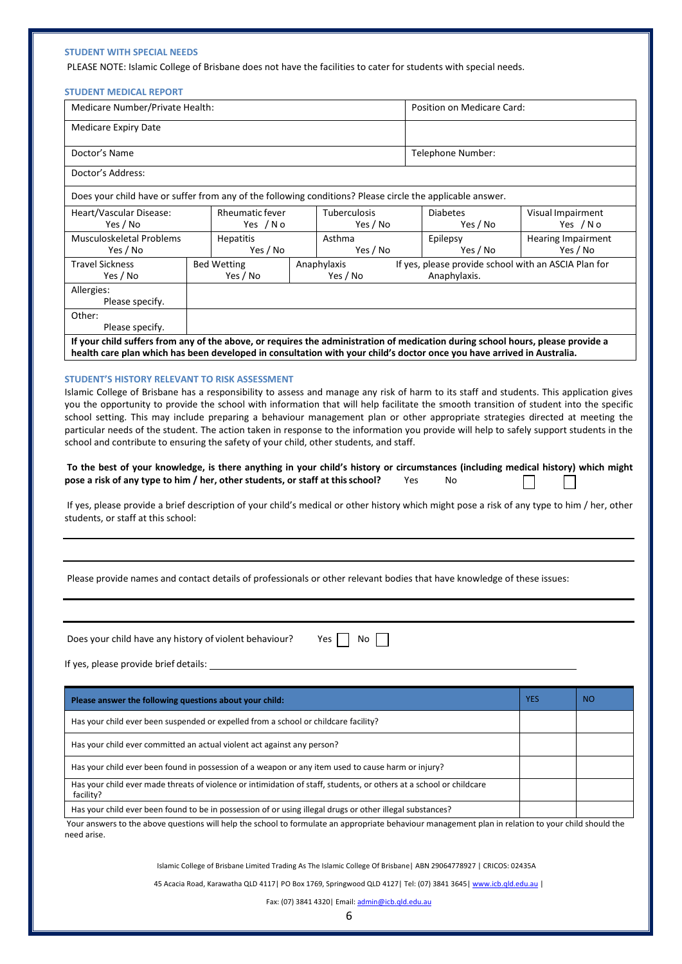## **STUDENT WITH SPECIAL NEEDS**

PLEASE NOTE: Islamic College of Brisbane does not have the facilities to cater for students with special needs.

| <b>STUDENT MEDICAL REPORT</b>                                                                                                                                                                                                                                                                                                                                                                                                                                                                                                                                                                                                 |                                                                                                                   |                                                                            |                      |                                                                      |  |                                       |                               |
|-------------------------------------------------------------------------------------------------------------------------------------------------------------------------------------------------------------------------------------------------------------------------------------------------------------------------------------------------------------------------------------------------------------------------------------------------------------------------------------------------------------------------------------------------------------------------------------------------------------------------------|-------------------------------------------------------------------------------------------------------------------|----------------------------------------------------------------------------|----------------------|----------------------------------------------------------------------|--|---------------------------------------|-------------------------------|
|                                                                                                                                                                                                                                                                                                                                                                                                                                                                                                                                                                                                                               | Medicare Number/Private Health:                                                                                   |                                                                            |                      | Position on Medicare Card:                                           |  |                                       |                               |
| <b>Medicare Expiry Date</b>                                                                                                                                                                                                                                                                                                                                                                                                                                                                                                                                                                                                   |                                                                                                                   |                                                                            |                      |                                                                      |  |                                       |                               |
| Doctor's Name                                                                                                                                                                                                                                                                                                                                                                                                                                                                                                                                                                                                                 |                                                                                                                   |                                                                            |                      | Telephone Number:                                                    |  |                                       |                               |
| Doctor's Address:                                                                                                                                                                                                                                                                                                                                                                                                                                                                                                                                                                                                             |                                                                                                                   |                                                                            |                      |                                                                      |  |                                       |                               |
| Does your child have or suffer from any of the following conditions? Please circle the applicable answer.                                                                                                                                                                                                                                                                                                                                                                                                                                                                                                                     |                                                                                                                   |                                                                            |                      |                                                                      |  |                                       |                               |
| Heart/Vascular Disease:<br>Yes / No                                                                                                                                                                                                                                                                                                                                                                                                                                                                                                                                                                                           |                                                                                                                   | Rheumatic fever<br>Tuberculosis<br><b>Diabetes</b><br>Yes / No<br>Yes / No |                      | Yes / No                                                             |  |                                       | Visual Impairment<br>Yes / No |
| Musculoskeletal Problems<br>Yes / No                                                                                                                                                                                                                                                                                                                                                                                                                                                                                                                                                                                          | Hepatitis<br>Asthma<br>Yes / No<br>Yes / No                                                                       |                                                                            | Epilepsy<br>Yes / No |                                                                      |  | <b>Hearing Impairment</b><br>Yes / No |                               |
| <b>Travel Sickness</b><br>Yes / No                                                                                                                                                                                                                                                                                                                                                                                                                                                                                                                                                                                            | <b>Bed Wetting</b><br>Yes / No                                                                                    | Anaphylaxis                                                                | Yes / No             | If yes, please provide school with an ASCIA Plan for<br>Anaphylaxis. |  |                                       |                               |
| Allergies:<br>Please specify.                                                                                                                                                                                                                                                                                                                                                                                                                                                                                                                                                                                                 |                                                                                                                   |                                                                            |                      |                                                                      |  |                                       |                               |
| Other:<br>Please specify.                                                                                                                                                                                                                                                                                                                                                                                                                                                                                                                                                                                                     |                                                                                                                   |                                                                            |                      |                                                                      |  |                                       |                               |
| If your child suffers from any of the above, or requires the administration of medication during school hours, please provide a                                                                                                                                                                                                                                                                                                                                                                                                                                                                                               |                                                                                                                   |                                                                            |                      |                                                                      |  |                                       |                               |
| health care plan which has been developed in consultation with your child's doctor once you have arrived in Australia.                                                                                                                                                                                                                                                                                                                                                                                                                                                                                                        |                                                                                                                   |                                                                            |                      |                                                                      |  |                                       |                               |
| school and contribute to ensuring the safety of your child, other students, and staff.<br>To the best of your knowledge, is there anything in your child's history or circumstances (including medical history) which might<br>pose a risk of any type to him / her, other students, or staff at this school?<br>If yes, please provide a brief description of your child's medical or other history which might pose a risk of any type to him / her, other<br>students, or staff at this school:<br>Please provide names and contact details of professionals or other relevant bodies that have knowledge of these issues: |                                                                                                                   |                                                                            |                      | Yes<br>No                                                            |  |                                       |                               |
| Does your child have any history of violent behaviour?                                                                                                                                                                                                                                                                                                                                                                                                                                                                                                                                                                        |                                                                                                                   |                                                                            | Yes<br>No            |                                                                      |  |                                       |                               |
|                                                                                                                                                                                                                                                                                                                                                                                                                                                                                                                                                                                                                               |                                                                                                                   |                                                                            |                      |                                                                      |  |                                       |                               |
| Please answer the following questions about your child:                                                                                                                                                                                                                                                                                                                                                                                                                                                                                                                                                                       |                                                                                                                   |                                                                            |                      |                                                                      |  | <b>YES</b>                            | <b>NO</b>                     |
| Has your child ever been suspended or expelled from a school or childcare facility?                                                                                                                                                                                                                                                                                                                                                                                                                                                                                                                                           |                                                                                                                   |                                                                            |                      |                                                                      |  |                                       |                               |
| Has your child ever committed an actual violent act against any person?                                                                                                                                                                                                                                                                                                                                                                                                                                                                                                                                                       |                                                                                                                   |                                                                            |                      |                                                                      |  |                                       |                               |
| Has your child ever been found in possession of a weapon or any item used to cause harm or injury?                                                                                                                                                                                                                                                                                                                                                                                                                                                                                                                            |                                                                                                                   |                                                                            |                      |                                                                      |  |                                       |                               |
| Has your child ever made threats of violence or intimidation of staff, students, or others at a school or childcare<br>facility?                                                                                                                                                                                                                                                                                                                                                                                                                                                                                              |                                                                                                                   |                                                                            |                      |                                                                      |  |                                       |                               |
| Has your child ever been found to be in possession of or using illegal drugs or other illegal substances?                                                                                                                                                                                                                                                                                                                                                                                                                                                                                                                     |                                                                                                                   |                                                                            |                      |                                                                      |  |                                       |                               |
| Your answers to the above questions will help the school to formulate an appropriate behaviour management plan in relation to your child should the<br>need arise.                                                                                                                                                                                                                                                                                                                                                                                                                                                            |                                                                                                                   |                                                                            |                      |                                                                      |  |                                       |                               |
|                                                                                                                                                                                                                                                                                                                                                                                                                                                                                                                                                                                                                               | Islamic College of Brisbane Limited Trading As The Islamic College Of Brisbane   ABN 29064778927   CRICOS: 02435A |                                                                            |                      |                                                                      |  |                                       |                               |
|                                                                                                                                                                                                                                                                                                                                                                                                                                                                                                                                                                                                                               | 45 Acacia Road, Karawatha QLD 4117   PO Box 1769, Springwood QLD 4127   Tel: (07) 3841 3645   www.icb.gld.edu.au  |                                                                            |                      |                                                                      |  |                                       |                               |

Fax: (07) 3841 4320| Email[: admin@icb.qld.edu.au](mailto:admin@icb.qld.edu.au)